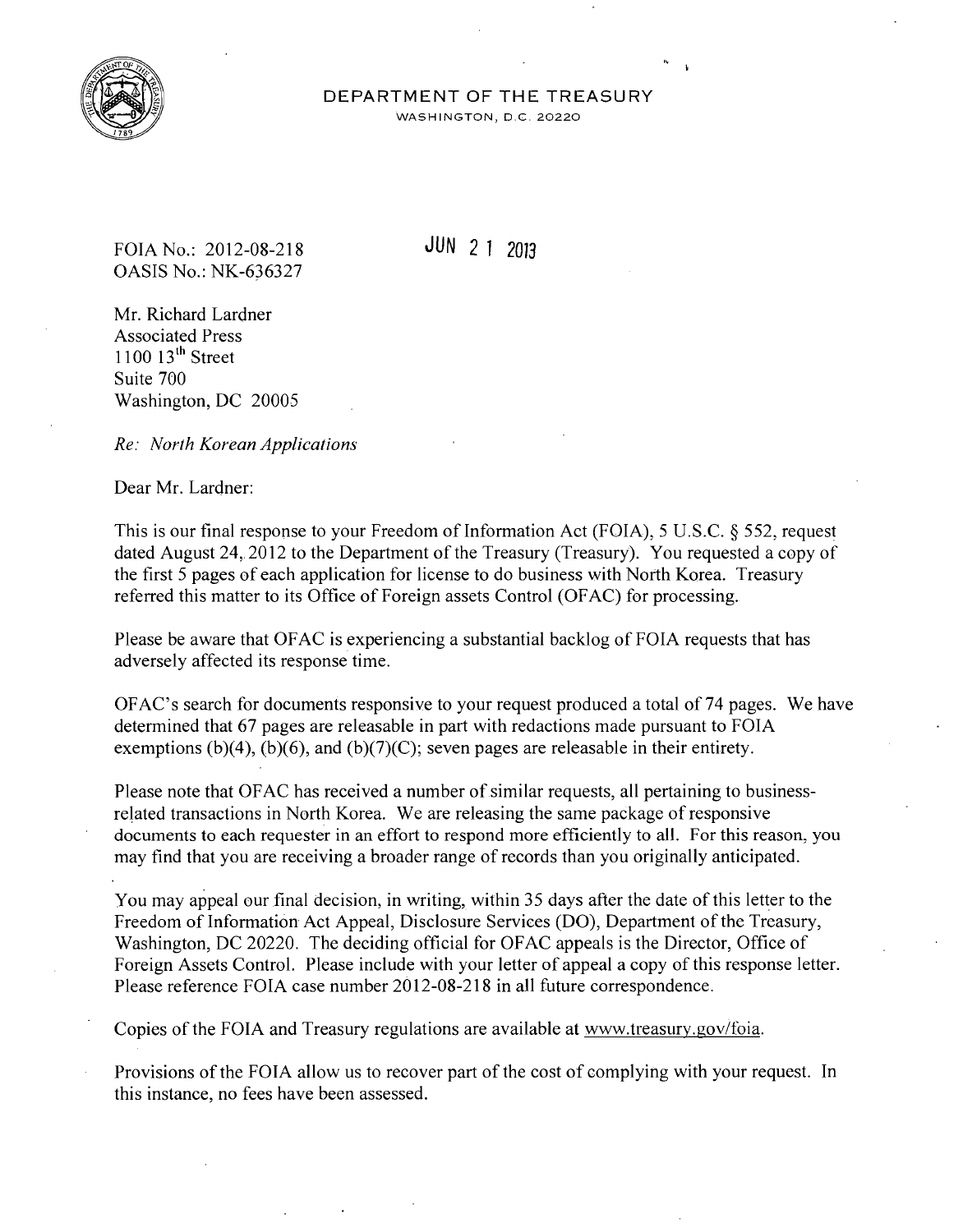

## DEPARTMENT OF THE TREASURY

WASHINGTON, D.C. 20220

FOIA No.: 2012-08-218 JUN 2 1 2013 OASIS No.: NK-636327

Mr. Richard Lardner Associated Press  $1100$   $13<sup>th</sup>$  Street Suite 700 Washington, DC 20005

*Re: North Korean Applications* 

Dear Mr. Lardner:

This is our final response to your Freedom of Information Act (FOIA), 5 U.S.C. § 552, request dated August 24, 2012 to the Department of the Treasury (Treasury). You requested a copy of the first 5 pages of each application for license to do business with North Korea. Treasury referred this matter to its Office of Foreign assets Control (OF AC) for processing.

Please be aware that OFAC is experiencing a substantial backlog of FOIA requests that has adversely affected its response time.

OFAC's search for documents responsive to your request produced a total of74 pages. We have determined that 67 pages are releasable in part with redactions made pursuant to FOIA exemptions (b)(4), (b)(6), and (b)(7)(C); seven pages are releasable in their entirety.

Please note that OFAC has received a number of similar requests, all pertaining to businessrelated transactions in North Korea. We are releasing the same package of responsive documents to each requester in an effort to respond more efficiently to all. For this reason, you may find that you are receiving a broader range of records than you originally anticipated.

You may appeal our final decision, in writing, within 35 days after the date of this letter to the Freedom of Information Act Appeal, Disclosure Services (DO), Department of the Treasury, Washington, DC 20220. The deciding official for OFAC appeals is the Director, Office of Foreign Assets Control. Please include with your letter of appeal a copy of this response letter. Please reference FOIA case number 2012-08-218 in all future correspondence.

Copies of the FOIA and Treasury regulations are available at www.treasury.gov/foia.

Provisions of the FOIA allow us to recover part of the cost of complying with your request. In this instance, no fees have been assessed.